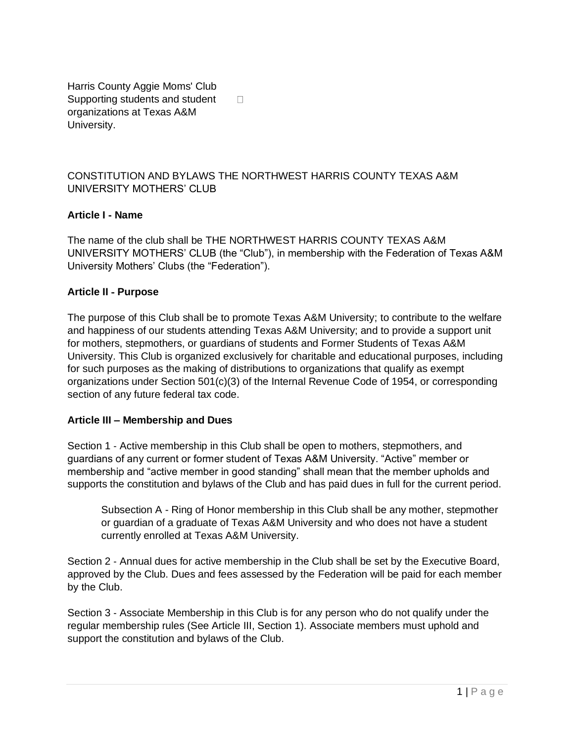Harris County Aggie Moms' Club Supporting students and student  $\Box$ organizations at Texas A&M University.

#### CONSTITUTION AND BYLAWS THE NORTHWEST HARRIS COUNTY TEXAS A&M UNIVERSITY MOTHERS' CLUB

#### **Article I** ‐ **Name**

The name of the club shall be THE NORTHWEST HARRIS COUNTY TEXAS A&M UNIVERSITY MOTHERS' CLUB (the "Club"), in membership with the Federation of Texas A&M University Mothers' Clubs (the "Federation").

#### **Article II** ‐ **Purpose**

The purpose of this Club shall be to promote Texas A&M University; to contribute to the welfare and happiness of our students attending Texas A&M University; and to provide a support unit for mothers, stepmothers, or guardians of students and Former Students of Texas A&M University. This Club is organized exclusively for charitable and educational purposes, including for such purposes as the making of distributions to organizations that qualify as exempt organizations under Section 501(c)(3) of the Internal Revenue Code of 1954, or corresponding section of any future federal tax code.

#### **Article III – Membership and Dues**

Section 1 - Active membership in this Club shall be open to mothers, stepmothers, and guardians of any current or former student of Texas A&M University. "Active" member or membership and "active member in good standing" shall mean that the member upholds and supports the constitution and bylaws of the Club and has paid dues in full for the current period.

Subsection A - Ring of Honor membership in this Club shall be any mother, stepmother or guardian of a graduate of Texas A&M University and who does not have a student currently enrolled at Texas A&M University.

Section 2 - Annual dues for active membership in the Club shall be set by the Executive Board, approved by the Club. Dues and fees assessed by the Federation will be paid for each member by the Club.

Section 3 ‐ Associate Membership in this Club is for any person who do not qualify under the regular membership rules (See Article III, Section 1). Associate members must uphold and support the constitution and bylaws of the Club.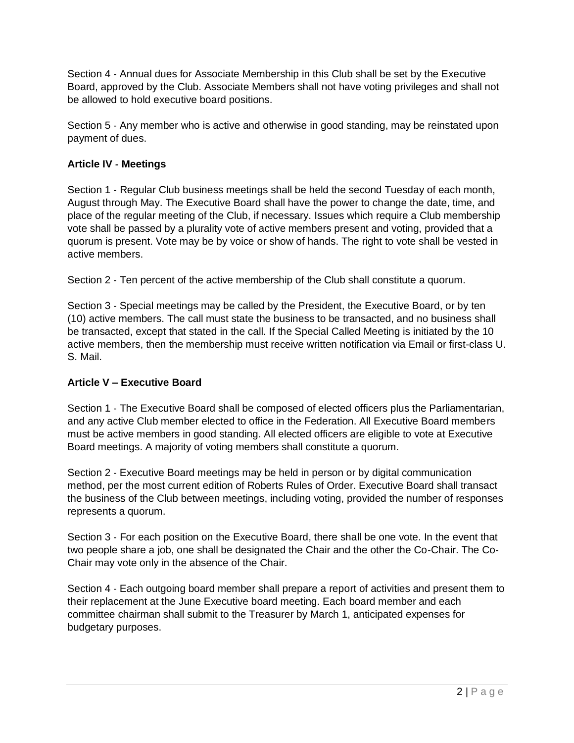Section 4 ‐ Annual dues for Associate Membership in this Club shall be set by the Executive Board, approved by the Club. Associate Members shall not have voting privileges and shall not be allowed to hold executive board positions.

Section 5 ‐ Any member who is active and otherwise in good standing, may be reinstated upon payment of dues.

### **Article IV** ‐ **Meetings**

Section 1 - Regular Club business meetings shall be held the second Tuesday of each month, August through May. The Executive Board shall have the power to change the date, time, and place of the regular meeting of the Club, if necessary. Issues which require a Club membership vote shall be passed by a plurality vote of active members present and voting, provided that a quorum is present. Vote may be by voice or show of hands. The right to vote shall be vested in active members.

Section 2 ‐ Ten percent of the active membership of the Club shall constitute a quorum.

Section 3 - Special meetings may be called by the President, the Executive Board, or by ten (10) active members. The call must state the business to be transacted, and no business shall be transacted, except that stated in the call. If the Special Called Meeting is initiated by the 10 active members, then the membership must receive written notification via Email or first-class U. S. Mail.

# **Article V – Executive Board**

Section 1 - The Executive Board shall be composed of elected officers plus the Parliamentarian, and any active Club member elected to office in the Federation. All Executive Board members must be active members in good standing. All elected officers are eligible to vote at Executive Board meetings. A majority of voting members shall constitute a quorum.

Section 2 ‐ Executive Board meetings may be held in person or by digital communication method, per the most current edition of Roberts Rules of Order. Executive Board shall transact the business of the Club between meetings, including voting, provided the number of responses represents a quorum.

Section 3 - For each position on the Executive Board, there shall be one vote. In the event that two people share a job, one shall be designated the Chair and the other the Co‐Chair. The Co‐ Chair may vote only in the absence of the Chair.

Section 4 - Each outgoing board member shall prepare a report of activities and present them to their replacement at the June Executive board meeting. Each board member and each committee chairman shall submit to the Treasurer by March 1, anticipated expenses for budgetary purposes.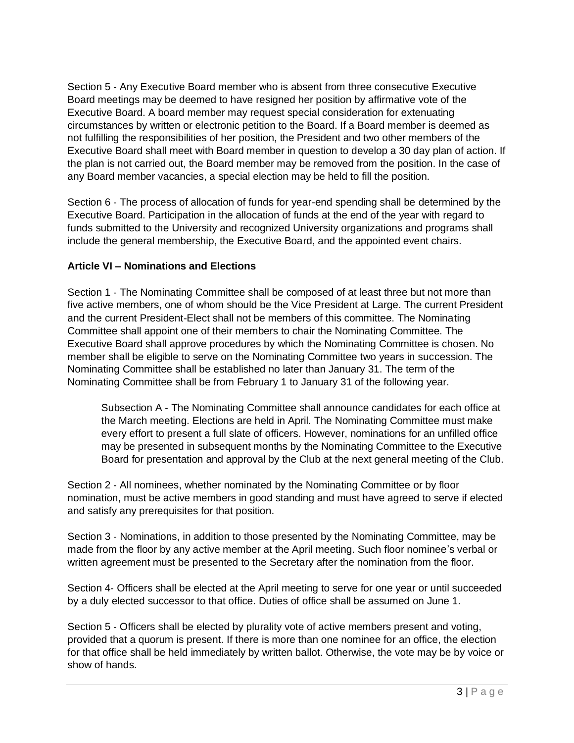Section 5 ‐ Any Executive Board member who is absent from three consecutive Executive Board meetings may be deemed to have resigned her position by affirmative vote of the Executive Board. A board member may request special consideration for extenuating circumstances by written or electronic petition to the Board. If a Board member is deemed as not fulfilling the responsibilities of her position, the President and two other members of the Executive Board shall meet with Board member in question to develop a 30 day plan of action. If the plan is not carried out, the Board member may be removed from the position. In the case of any Board member vacancies, a special election may be held to fill the position.

Section 6 - The process of allocation of funds for year-end spending shall be determined by the Executive Board. Participation in the allocation of funds at the end of the year with regard to funds submitted to the University and recognized University organizations and programs shall include the general membership, the Executive Board, and the appointed event chairs.

### **Article VI – Nominations and Elections**

Section 1 - The Nominating Committee shall be composed of at least three but not more than five active members, one of whom should be the Vice President at Large. The current President and the current President‐Elect shall not be members of this committee. The Nominating Committee shall appoint one of their members to chair the Nominating Committee. The Executive Board shall approve procedures by which the Nominating Committee is chosen. No member shall be eligible to serve on the Nominating Committee two years in succession. The Nominating Committee shall be established no later than January 31. The term of the Nominating Committee shall be from February 1 to January 31 of the following year.

Subsection A ‐ The Nominating Committee shall announce candidates for each office at the March meeting. Elections are held in April. The Nominating Committee must make every effort to present a full slate of officers. However, nominations for an unfilled office may be presented in subsequent months by the Nominating Committee to the Executive Board for presentation and approval by the Club at the next general meeting of the Club.

Section 2 - All nominees, whether nominated by the Nominating Committee or by floor nomination, must be active members in good standing and must have agreed to serve if elected and satisfy any prerequisites for that position.

Section 3 ‐ Nominations, in addition to those presented by the Nominating Committee, may be made from the floor by any active member at the April meeting. Such floor nominee's verbal or written agreement must be presented to the Secretary after the nomination from the floor.

Section 4‐ Officers shall be elected at the April meeting to serve for one year or until succeeded by a duly elected successor to that office. Duties of office shall be assumed on June 1.

Section 5 ‐ Officers shall be elected by plurality vote of active members present and voting, provided that a quorum is present. If there is more than one nominee for an office, the election for that office shall be held immediately by written ballot. Otherwise, the vote may be by voice or show of hands.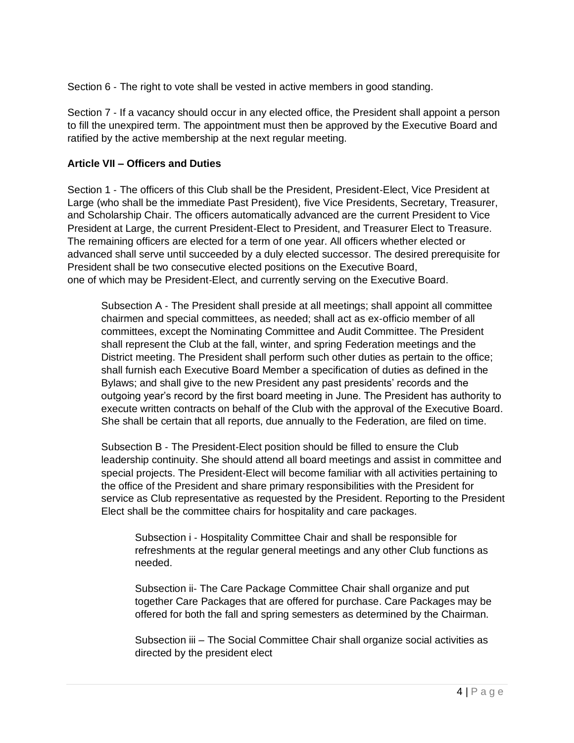Section 6 - The right to vote shall be vested in active members in good standing.

Section 7 - If a vacancy should occur in any elected office, the President shall appoint a person to fill the unexpired term. The appointment must then be approved by the Executive Board and ratified by the active membership at the next regular meeting.

#### **Article VII – Officers and Duties**

Section 1 ‐ The officers of this Club shall be the President, President‐Elect, Vice President at Large (who shall be the immediate Past President), five Vice Presidents, Secretary, Treasurer, and Scholarship Chair. The officers automatically advanced are the current President to Vice President at Large, the current President‐Elect to President, and Treasurer Elect to Treasure. The remaining officers are elected for a term of one year. All officers whether elected or advanced shall serve until succeeded by a duly elected successor. The desired prerequisite for President shall be two consecutive elected positions on the Executive Board, one of which may be President‐Elect, and currently serving on the Executive Board.

Subsection A ‐ The President shall preside at all meetings; shall appoint all committee chairmen and special committees, as needed; shall act as ex‐officio member of all committees, except the Nominating Committee and Audit Committee. The President shall represent the Club at the fall, winter, and spring Federation meetings and the District meeting. The President shall perform such other duties as pertain to the office; shall furnish each Executive Board Member a specification of duties as defined in the Bylaws; and shall give to the new President any past presidents' records and the outgoing year's record by the first board meeting in June. The President has authority to execute written contracts on behalf of the Club with the approval of the Executive Board. She shall be certain that all reports, due annually to the Federation, are filed on time.

Subsection B ‐ The President‐Elect position should be filled to ensure the Club leadership continuity. She should attend all board meetings and assist in committee and special projects. The President‐Elect will become familiar with all activities pertaining to the office of the President and share primary responsibilities with the President for service as Club representative as requested by the President. Reporting to the President Elect shall be the committee chairs for hospitality and care packages.

Subsection i ‐ Hospitality Committee Chair and shall be responsible for refreshments at the regular general meetings and any other Club functions as needed.

Subsection ii‐ The Care Package Committee Chair shall organize and put together Care Packages that are offered for purchase. Care Packages may be offered for both the fall and spring semesters as determined by the Chairman.

Subsection iii – The Social Committee Chair shall organize social activities as directed by the president elect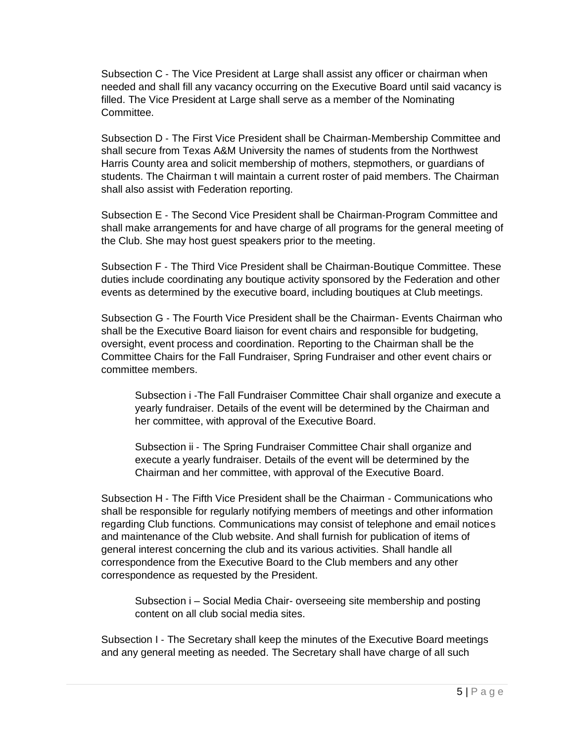Subsection C ‐ The Vice President at Large shall assist any officer or chairman when needed and shall fill any vacancy occurring on the Executive Board until said vacancy is filled. The Vice President at Large shall serve as a member of the Nominating Committee.

Subsection D ‐ The First Vice President shall be Chairman‐Membership Committee and shall secure from Texas A&M University the names of students from the Northwest Harris County area and solicit membership of mothers, stepmothers, or guardians of students. The Chairman t will maintain a current roster of paid members. The Chairman shall also assist with Federation reporting.

Subsection E ‐ The Second Vice President shall be Chairman‐Program Committee and shall make arrangements for and have charge of all programs for the general meeting of the Club. She may host guest speakers prior to the meeting.

Subsection F ‐ The Third Vice President shall be Chairman‐Boutique Committee. These duties include coordinating any boutique activity sponsored by the Federation and other events as determined by the executive board, including boutiques at Club meetings.

Subsection G ‐ The Fourth Vice President shall be the Chairman- Events Chairman who shall be the Executive Board liaison for event chairs and responsible for budgeting, oversight, event process and coordination. Reporting to the Chairman shall be the Committee Chairs for the Fall Fundraiser, Spring Fundraiser and other event chairs or committee members.

Subsection i ‐The Fall Fundraiser Committee Chair shall organize and execute a yearly fundraiser. Details of the event will be determined by the Chairman and her committee, with approval of the Executive Board.

Subsection ii ‐ The Spring Fundraiser Committee Chair shall organize and execute a yearly fundraiser. Details of the event will be determined by the Chairman and her committee, with approval of the Executive Board.

Subsection H ‐ The Fifth Vice President shall be the Chairman - Communications who shall be responsible for regularly notifying members of meetings and other information regarding Club functions. Communications may consist of telephone and email notices and maintenance of the Club website. And shall furnish for publication of items of general interest concerning the club and its various activities. Shall handle all correspondence from the Executive Board to the Club members and any other correspondence as requested by the President.

Subsection i – Social Media Chair- overseeing site membership and posting content on all club social media sites.

Subsection I - The Secretary shall keep the minutes of the Executive Board meetings and any general meeting as needed. The Secretary shall have charge of all such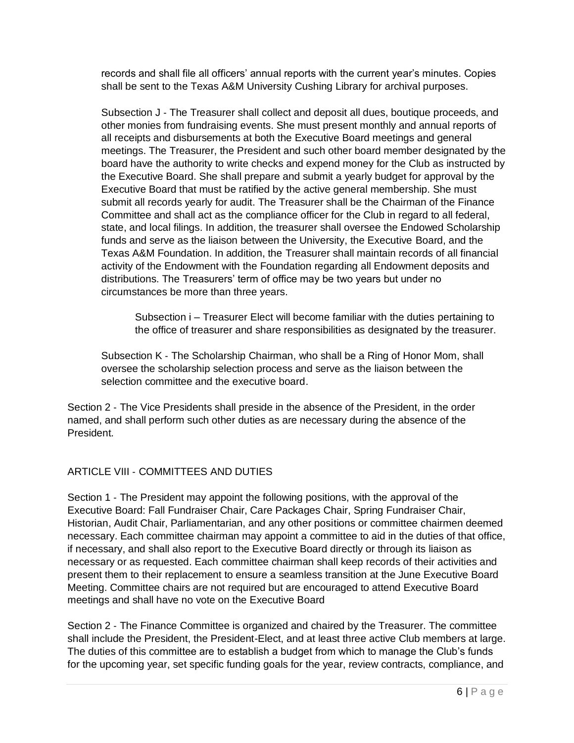records and shall file all officers' annual reports with the current year's minutes. Copies shall be sent to the Texas A&M University Cushing Library for archival purposes.

Subsection J - The Treasurer shall collect and deposit all dues, boutique proceeds, and other monies from fundraising events. She must present monthly and annual reports of all receipts and disbursements at both the Executive Board meetings and general meetings. The Treasurer, the President and such other board member designated by the board have the authority to write checks and expend money for the Club as instructed by the Executive Board. She shall prepare and submit a yearly budget for approval by the Executive Board that must be ratified by the active general membership. She must submit all records yearly for audit. The Treasurer shall be the Chairman of the Finance Committee and shall act as the compliance officer for the Club in regard to all federal, state, and local filings. In addition, the treasurer shall oversee the Endowed Scholarship funds and serve as the liaison between the University, the Executive Board, and the Texas A&M Foundation. In addition, the Treasurer shall maintain records of all financial activity of the Endowment with the Foundation regarding all Endowment deposits and distributions. The Treasurers' term of office may be two years but under no circumstances be more than three years.

Subsection i – Treasurer Elect will become familiar with the duties pertaining to the office of treasurer and share responsibilities as designated by the treasurer.

Subsection K ‐ The Scholarship Chairman, who shall be a Ring of Honor Mom, shall oversee the scholarship selection process and serve as the liaison between the selection committee and the executive board.

Section 2 - The Vice Presidents shall preside in the absence of the President, in the order named, and shall perform such other duties as are necessary during the absence of the President.

### ARTICLE VIII ‐ COMMITTEES AND DUTIES

Section 1 - The President may appoint the following positions, with the approval of the Executive Board: Fall Fundraiser Chair, Care Packages Chair, Spring Fundraiser Chair, Historian, Audit Chair, Parliamentarian, and any other positions or committee chairmen deemed necessary. Each committee chairman may appoint a committee to aid in the duties of that office, if necessary, and shall also report to the Executive Board directly or through its liaison as necessary or as requested. Each committee chairman shall keep records of their activities and present them to their replacement to ensure a seamless transition at the June Executive Board Meeting. Committee chairs are not required but are encouraged to attend Executive Board meetings and shall have no vote on the Executive Board

Section 2 - The Finance Committee is organized and chaired by the Treasurer. The committee shall include the President, the President-Elect, and at least three active Club members at large. The duties of this committee are to establish a budget from which to manage the Club's funds for the upcoming year, set specific funding goals for the year, review contracts, compliance, and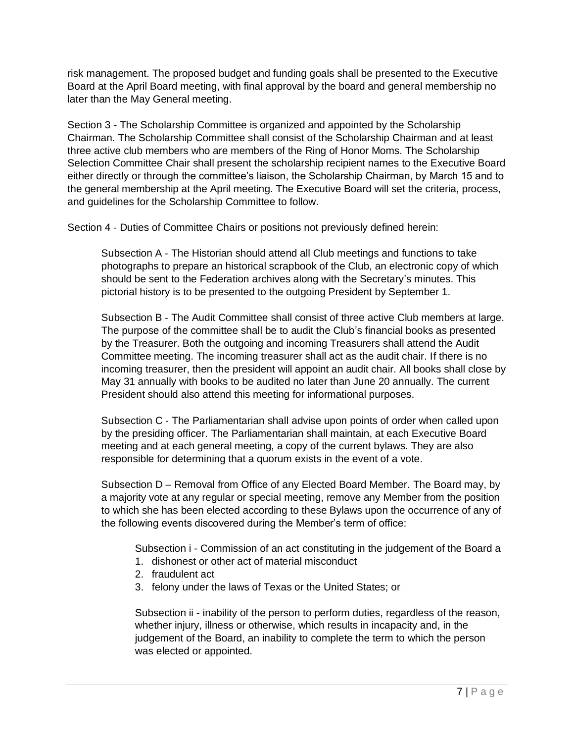risk management. The proposed budget and funding goals shall be presented to the Executive Board at the April Board meeting, with final approval by the board and general membership no later than the May General meeting.

Section 3 - The Scholarship Committee is organized and appointed by the Scholarship Chairman. The Scholarship Committee shall consist of the Scholarship Chairman and at least three active club members who are members of the Ring of Honor Moms. The Scholarship Selection Committee Chair shall present the scholarship recipient names to the Executive Board either directly or through the committee's liaison, the Scholarship Chairman, by March 15 and to the general membership at the April meeting. The Executive Board will set the criteria, process, and guidelines for the Scholarship Committee to follow.

Section 4 ‐ Duties of Committee Chairs or positions not previously defined herein:

Subsection A ‐ The Historian should attend all Club meetings and functions to take photographs to prepare an historical scrapbook of the Club, an electronic copy of which should be sent to the Federation archives along with the Secretary's minutes. This pictorial history is to be presented to the outgoing President by September 1.

Subsection B ‐ The Audit Committee shall consist of three active Club members at large. The purpose of the committee shall be to audit the Club's financial books as presented by the Treasurer. Both the outgoing and incoming Treasurers shall attend the Audit Committee meeting. The incoming treasurer shall act as the audit chair. If there is no incoming treasurer, then the president will appoint an audit chair. All books shall close by May 31 annually with books to be audited no later than June 20 annually. The current President should also attend this meeting for informational purposes.

Subsection C ‐ The Parliamentarian shall advise upon points of order when called upon by the presiding officer. The Parliamentarian shall maintain, at each Executive Board meeting and at each general meeting, a copy of the current bylaws. They are also responsible for determining that a quorum exists in the event of a vote.

Subsection D – Removal from Office of any Elected Board Member. The Board may, by a majority vote at any regular or special meeting, remove any Member from the position to which she has been elected according to these Bylaws upon the occurrence of any of the following events discovered during the Member's term of office:

Subsection i - Commission of an act constituting in the judgement of the Board a

- 1. dishonest or other act of material misconduct
- 2. fraudulent act
- 3. felony under the laws of Texas or the United States; or

Subsection ii - inability of the person to perform duties, regardless of the reason, whether injury, illness or otherwise, which results in incapacity and, in the judgement of the Board, an inability to complete the term to which the person was elected or appointed.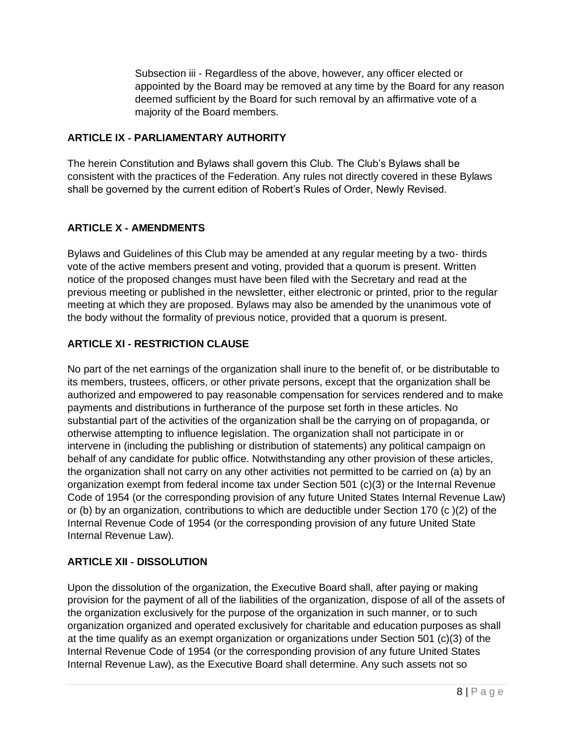Subsection iii - Regardless of the above, however, any officer elected or appointed by the Board may be removed at any time by the Board for any reason deemed sufficient by the Board for such removal by an affirmative vote of a majority of the Board members.

### **ARTICLE IX** ‐ **PARLIAMENTARY AUTHORITY**

The herein Constitution and Bylaws shall govern this Club. The Club's Bylaws shall be consistent with the practices of the Federation. Any rules not directly covered in these Bylaws shall be governed by the current edition of Robert's Rules of Order, Newly Revised.

## **ARTICLE X** ‐ **AMENDMENTS**

Bylaws and Guidelines of this Club may be amended at any regular meeting by a two‐ thirds vote of the active members present and voting, provided that a quorum is present. Written notice of the proposed changes must have been filed with the Secretary and read at the previous meeting or published in the newsletter, either electronic or printed, prior to the regular meeting at which they are proposed. Bylaws may also be amended by the unanimous vote of the body without the formality of previous notice, provided that a quorum is present.

## **ARTICLE XI** ‐ **RESTRICTION CLAUSE**

No part of the net earnings of the organization shall inure to the benefit of, or be distributable to its members, trustees, officers, or other private persons, except that the organization shall be authorized and empowered to pay reasonable compensation for services rendered and to make payments and distributions in furtherance of the purpose set forth in these articles. No substantial part of the activities of the organization shall be the carrying on of propaganda, or otherwise attempting to influence legislation. The organization shall not participate in or intervene in (including the publishing or distribution of statements) any political campaign on behalf of any candidate for public office. Notwithstanding any other provision of these articles, the organization shall not carry on any other activities not permitted to be carried on (a) by an organization exempt from federal income tax under Section 501 (c)(3) or the Internal Revenue Code of 1954 (or the corresponding provision of any future United States Internal Revenue Law) or (b) by an organization, contributions to which are deductible under Section 170 (c )(2) of the Internal Revenue Code of 1954 (or the corresponding provision of any future United State Internal Revenue Law).

### **ARTICLE XII** ‐ **DISSOLUTION**

Upon the dissolution of the organization, the Executive Board shall, after paying or making provision for the payment of all of the liabilities of the organization, dispose of all of the assets of the organization exclusively for the purpose of the organization in such manner, or to such organization organized and operated exclusively for charitable and education purposes as shall at the time qualify as an exempt organization or organizations under Section 501 (c)(3) of the Internal Revenue Code of 1954 (or the corresponding provision of any future United States Internal Revenue Law), as the Executive Board shall determine. Any such assets not so